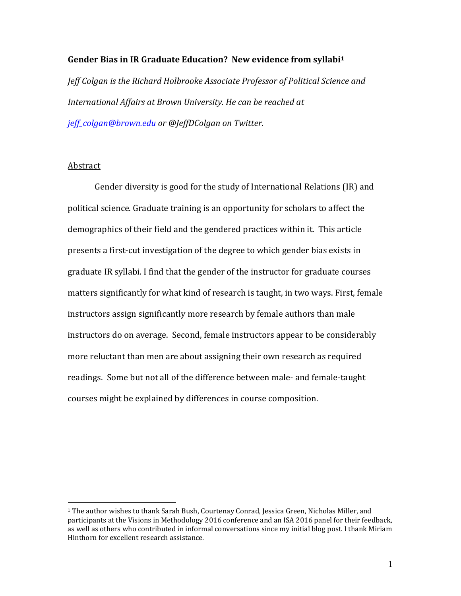### **Gender Bias in IR Graduate Education? New evidence from syllabi<sup>1</sup>**

*Jeff Colgan is the Richard Holbrooke Associate Professor of Political Science and International Affairs at Brown University. He can be reached at [jeff\\_colgan@brown.edu](mailto:jeff_colgan@brown.edu) or @JeffDColgan on Twitter.*

# **Abstract**

 $\overline{a}$ 

Gender diversity is good for the study of International Relations (IR) and political science. Graduate training is an opportunity for scholars to affect the demographics of their field and the gendered practices within it. This article presents a first-cut investigation of the degree to which gender bias exists in graduate IR syllabi. I find that the gender of the instructor for graduate courses matters significantly for what kind of research is taught, in two ways. First, female instructors assign significantly more research by female authors than male instructors do on average. Second, female instructors appear to be considerably more reluctant than men are about assigning their own research as required readings. Some but not all of the difference between male- and female-taught courses might be explained by differences in course composition.

<sup>1</sup> The author wishes to thank Sarah Bush, Courtenay Conrad, Jessica Green, Nicholas Miller, and participants at the Visions in Methodology 2016 conference and an ISA 2016 panel for their feedback, as well as others who contributed in informal conversations since my initial blog post. I thank Miriam Hinthorn for excellent research assistance.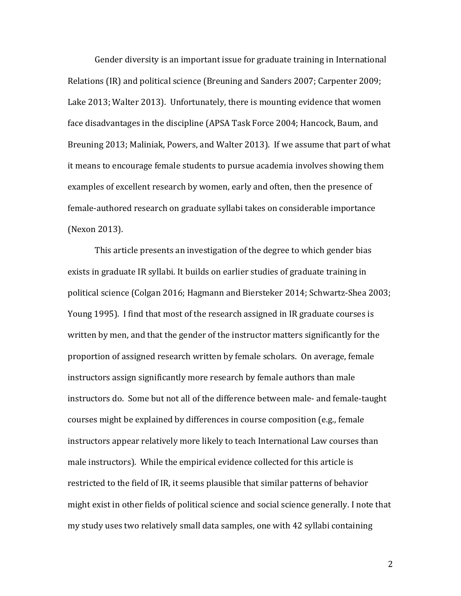Gender diversity is an important issue for graduate training in International Relations (IR) and political science (Breuning and Sanders 2007; Carpenter 2009; Lake 2013; Walter 2013). Unfortunately, there is mounting evidence that women face disadvantages in the discipline (APSA Task Force 2004; Hancock, Baum, and Breuning 2013; Maliniak, Powers, and Walter 2013). If we assume that part of what it means to encourage female students to pursue academia involves showing them examples of excellent research by women, early and often, then the presence of female-authored research on graduate syllabi takes on considerable importance (Nexon 2013).

This article presents an investigation of the degree to which gender bias exists in graduate IR syllabi. It builds on earlier studies of graduate training in political science (Colgan 2016; Hagmann and Biersteker 2014; Schwartz-Shea 2003; Young 1995). I find that most of the research assigned in IR graduate courses is written by men, and that the gender of the instructor matters significantly for the proportion of assigned research written by female scholars. On average, female instructors assign significantly more research by female authors than male instructors do. Some but not all of the difference between male- and female-taught courses might be explained by differences in course composition (e.g., female instructors appear relatively more likely to teach International Law courses than male instructors). While the empirical evidence collected for this article is restricted to the field of IR, it seems plausible that similar patterns of behavior might exist in other fields of political science and social science generally. I note that my study uses two relatively small data samples, one with 42 syllabi containing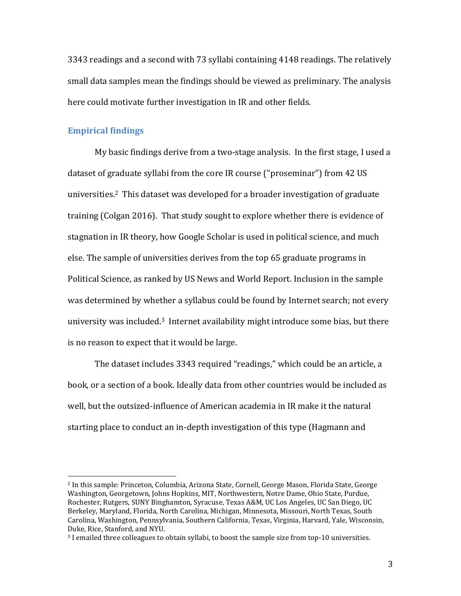3343 readings and a second with 73 syllabi containing 4148 readings. The relatively small data samples mean the findings should be viewed as preliminary. The analysis here could motivate further investigation in IR and other fields.

### **Empirical findings**

 $\overline{a}$ 

My basic findings derive from a two-stage analysis. In the first stage, I used a dataset of graduate syllabi from the core IR course ("proseminar") from 42 US universities. <sup>2</sup> This dataset was developed for a broader investigation of graduate training (Colgan 2016). That study sought to explore whether there is evidence of stagnation in IR theory, how Google Scholar is used in political science, and much else. The sample of universities derives from the top 65 graduate programs in Political Science, as ranked by US News and World Report. Inclusion in the sample was determined by whether a syllabus could be found by Internet search; not every university was included. <sup>3</sup> Internet availability might introduce some bias, but there is no reason to expect that it would be large.

The dataset includes 3343 required "readings," which could be an article, a book, or a section of a book. Ideally data from other countries would be included as well, but the outsized-influence of American academia in IR make it the natural starting place to conduct an in-depth investigation of this type (Hagmann and

<sup>2</sup> In this sample: Princeton, Columbia, Arizona State, Cornell, George Mason, Florida State, George Washington, Georgetown, Johns Hopkins, MIT, Northwestern, Notre Dame, Ohio State, Purdue, Rochester, Rutgers, SUNY Binghamton, Syracuse, Texas A&M, UC Los Angeles, UC San Diego, UC Berkeley, Maryland, Florida, North Carolina, Michigan, Minnesota, Missouri, North Texas, South Carolina, Washington, Pennsylvania, Southern California, Texas, Virginia, Harvard, Yale, Wisconsin, Duke, Rice, Stanford, and NYU.

<sup>3</sup> I emailed three colleagues to obtain syllabi, to boost the sample size from top-10 universities.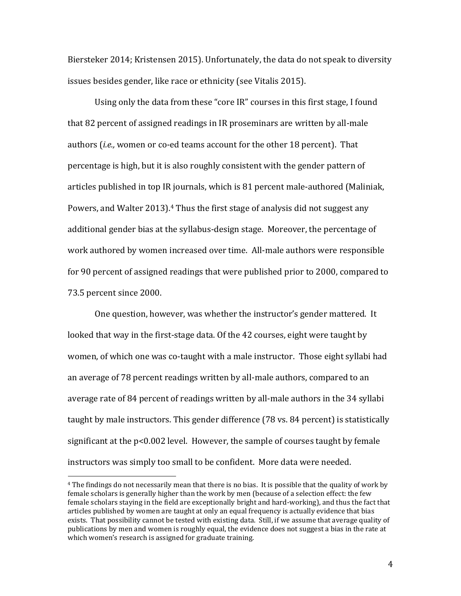Biersteker 2014; Kristensen 2015). Unfortunately, the data do not speak to diversity issues besides gender, like race or ethnicity (see Vitalis 2015).

Using only the data from these "core IR" courses in this first stage, I found that 82 percent of assigned readings in IR proseminars are written by all-male authors (*i.e.,* women or co-ed teams account for the other 18 percent). That percentage is high, but it is also roughly consistent with the gender pattern of articles published in top IR journals, which is 81 percent male-authored (Maliniak, Powers, and Walter 2013).<sup>4</sup> Thus the first stage of analysis did not suggest any additional gender bias at the syllabus-design stage. Moreover, the percentage of work authored by women increased over time. All-male authors were responsible for 90 percent of assigned readings that were published prior to 2000, compared to 73.5 percent since 2000.

One question, however, was whether the instructor's gender mattered. It looked that way in the first-stage data. Of the 42 courses, eight were taught by women, of which one was co-taught with a male instructor. Those eight syllabi had an average of 78 percent readings written by all-male authors, compared to an average rate of 84 percent of readings written by all-male authors in the 34 syllabi taught by male instructors. This gender difference (78 vs. 84 percent) is statistically significant at the p<0.002 level. However, the sample of courses taught by female instructors was simply too small to be confident. More data were needed.

 $\overline{a}$ 

<sup>4</sup> The findings do not necessarily mean that there is no bias. It is possible that the quality of work by female scholars is generally higher than the work by men (because of a selection effect: the few female scholars staying in the field are exceptionally bright and hard-working), and thus the fact that articles published by women are taught at only an equal frequency is actually evidence that bias exists. That possibility cannot be tested with existing data. Still, if we assume that average quality of publications by men and women is roughly equal, the evidence does not suggest a bias in the rate at which women's research is assigned for graduate training.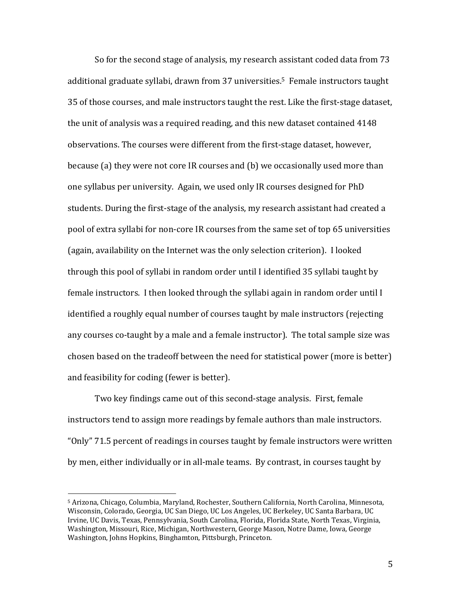So for the second stage of analysis, my research assistant coded data from 73 additional graduate syllabi, drawn from 37 universities. <sup>5</sup> Female instructors taught 35 of those courses, and male instructors taught the rest. Like the first-stage dataset, the unit of analysis was a required reading, and this new dataset contained 4148 observations. The courses were different from the first-stage dataset, however, because (a) they were not core IR courses and (b) we occasionally used more than one syllabus per university. Again, we used only IR courses designed for PhD students. During the first-stage of the analysis, my research assistant had created a pool of extra syllabi for non-core IR courses from the same set of top 65 universities (again, availability on the Internet was the only selection criterion). I looked through this pool of syllabi in random order until I identified 35 syllabi taught by female instructors. I then looked through the syllabi again in random order until I identified a roughly equal number of courses taught by male instructors (rejecting any courses co-taught by a male and a female instructor). The total sample size was chosen based on the tradeoff between the need for statistical power (more is better) and feasibility for coding (fewer is better).

Two key findings came out of this second-stage analysis. First, female instructors tend to assign more readings by female authors than male instructors. "Only" 71.5 percent of readings in courses taught by female instructors were written by men, either individually or in all-male teams. By contrast, in courses taught by

l

<sup>5</sup> Arizona, Chicago, Columbia, Maryland, Rochester, Southern California, North Carolina, Minnesota, Wisconsin, Colorado, Georgia, UC San Diego, UC Los Angeles, UC Berkeley, UC Santa Barbara, UC Irvine, UC Davis, Texas, Pennsylvania, South Carolina, Florida, Florida State, North Texas, Virginia, Washington, Missouri, Rice, Michigan, Northwestern, George Mason, Notre Dame, Iowa, George Washington, Johns Hopkins, Binghamton, Pittsburgh, Princeton.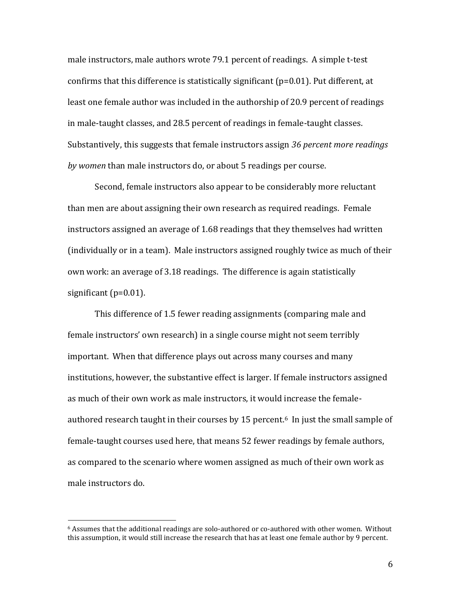male instructors, male authors wrote 79.1 percent of readings. A simple t-test confirms that this difference is statistically significant ( $p=0.01$ ). Put different, at least one female author was included in the authorship of 20.9 percent of readings in male-taught classes, and 28.5 percent of readings in female-taught classes. Substantively, this suggests that female instructors assign *36 percent more readings by women* than male instructors do, or about 5 readings per course.

Second, female instructors also appear to be considerably more reluctant than men are about assigning their own research as required readings. Female instructors assigned an average of 1.68 readings that they themselves had written (individually or in a team). Male instructors assigned roughly twice as much of their own work: an average of 3.18 readings. The difference is again statistically significant (p=0.01).

This difference of 1.5 fewer reading assignments (comparing male and female instructors' own research) in a single course might not seem terribly important. When that difference plays out across many courses and many institutions, however, the substantive effect is larger. If female instructors assigned as much of their own work as male instructors, it would increase the femaleauthored research taught in their courses by 15 percent. <sup>6</sup> In just the small sample of female-taught courses used here, that means 52 fewer readings by female authors, as compared to the scenario where women assigned as much of their own work as male instructors do.

 $\overline{a}$ 

 $6$  Assumes that the additional readings are solo-authored or co-authored with other women. Without this assumption, it would still increase the research that has at least one female author by 9 percent.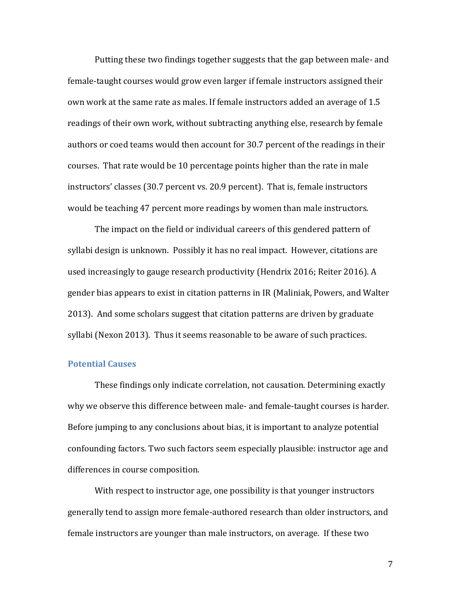Putting these two findings together suggests that the gap between male- and female-taught courses would grow even larger if female instructors assigned their own work at the same rate as males. If female instructors added an average of 1.5 readings of their own work, without subtracting anything else, research by female authors or coed teams would then account for 30.7 percent of the readings in their courses. That rate would be 10 percentage points higher than the rate in male instructors' classes (30.7 percent vs. 20.9 percent). That is, female instructors would be teaching 47 percent more readings by women than male instructors.

The impact on the field or individual careers of this gendered pattern of syllabi design is unknown. Possibly it has no real impact. However, citations are used increasingly to gauge research productivity (Hendrix 2016; Reiter 2016). A gender bias appears to exist in citation patterns in IR (Maliniak, Powers, and Walter 2013). And some scholars suggest that citation patterns are driven by graduate syllabi (Nexon 2013). Thus it seems reasonable to be aware of such practices.

#### **Potential Causes**

These findings only indicate correlation, not causation. Determining exactly why we observe this difference between male- and female-taught courses is harder. Before jumping to any conclusions about bias, it is important to analyze potential confounding factors. Two such factors seem especially plausible: instructor age and differences in course composition.

With respect to instructor age, one possibility is that younger instructors generally tend to assign more female-authored research than older instructors, and female instructors are younger than male instructors, on average. If these two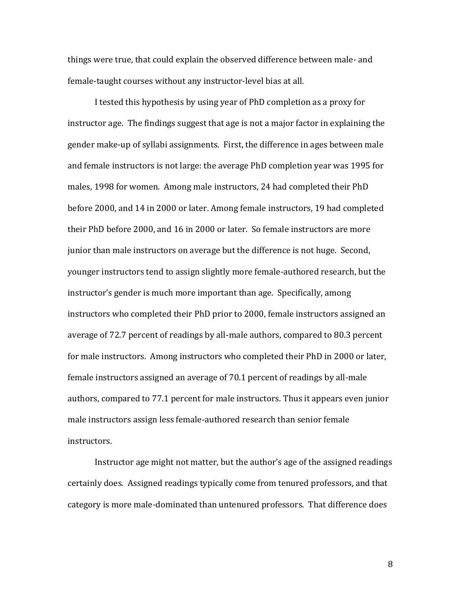things were true, that could explain the observed difference between male- and female-taught courses without any instructor-level bias at all.

I tested this hypothesis by using year of PhD completion as a proxy for instructor age. The findings suggest that age is not a major factor in explaining the gender make-up of syllabi assignments. First, the difference in ages between male and female instructors is not large: the average PhD completion year was 1995 for males, 1998 for women. Among male instructors, 24 had completed their PhD before 2000, and 14 in 2000 or later. Among female instructors, 19 had completed their PhD before 2000, and 16 in 2000 or later. So female instructors are more junior than male instructors on average but the difference is not huge. Second, younger instructors tend to assign slightly more female-authored research, but the instructor's gender is much more important than age. Specifically, among instructors who completed their PhD prior to 2000, female instructors assigned an average of 72.7 percent of readings by all-male authors, compared to 80.3 percent for male instructors. Among instructors who completed their PhD in 2000 or later, female instructors assigned an average of 70.1 percent of readings by all-male authors, compared to 77.1 percent for male instructors. Thus it appears even junior male instructors assign less female-authored research than senior female instructors.

Instructor age might not matter, but the author's age of the assigned readings certainly does. Assigned readings typically come from tenured professors, and that category is more male-dominated than untenured professors. That difference does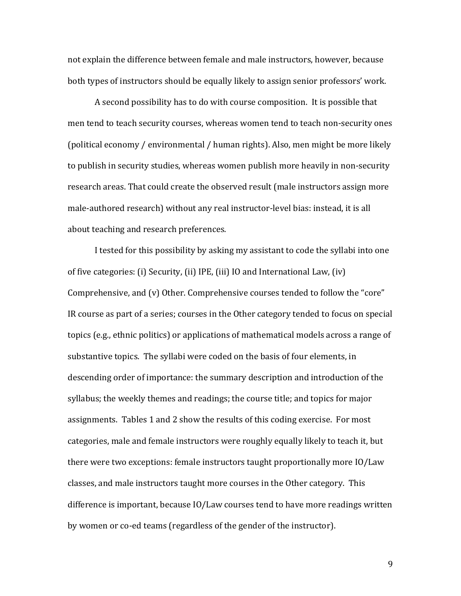not explain the difference between female and male instructors, however, because both types of instructors should be equally likely to assign senior professors' work.

A second possibility has to do with course composition. It is possible that men tend to teach security courses, whereas women tend to teach non-security ones (political economy / environmental / human rights). Also, men might be more likely to publish in security studies, whereas women publish more heavily in non-security research areas. That could create the observed result (male instructors assign more male-authored research) without any real instructor-level bias: instead, it is all about teaching and research preferences.

I tested for this possibility by asking my assistant to code the syllabi into one of five categories: (i) Security, (ii) IPE, (iii) IO and International Law, (iv) Comprehensive, and (v) Other. Comprehensive courses tended to follow the "core" IR course as part of a series; courses in the Other category tended to focus on special topics (e.g., ethnic politics) or applications of mathematical models across a range of substantive topics. The syllabi were coded on the basis of four elements, in descending order of importance: the summary description and introduction of the syllabus; the weekly themes and readings; the course title; and topics for major assignments. Tables 1 and 2 show the results of this coding exercise. For most categories, male and female instructors were roughly equally likely to teach it, but there were two exceptions: female instructors taught proportionally more IO/Law classes, and male instructors taught more courses in the Other category. This difference is important, because IO/Law courses tend to have more readings written by women or co-ed teams (regardless of the gender of the instructor).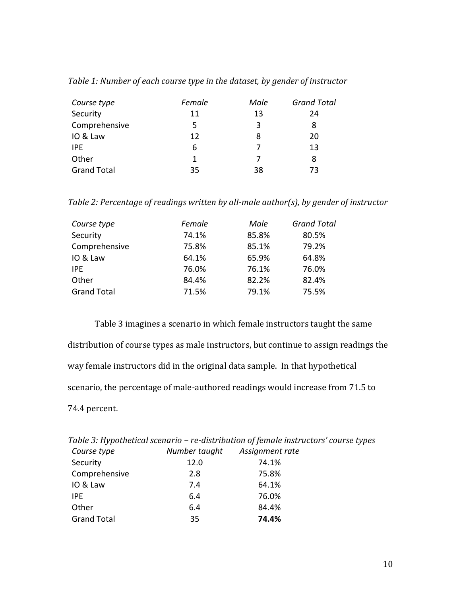| Table 1: Number of each course type in the dataset, by gender of instructor |  |  |  |
|-----------------------------------------------------------------------------|--|--|--|
|                                                                             |  |  |  |

| Course type        | Female       | Male | <b>Grand Total</b> |
|--------------------|--------------|------|--------------------|
| Security           | 11           | 13   | 24                 |
| Comprehensive      | 5            | 3    | 8                  |
| IO & Law           | 12           | 8    | 20                 |
| <b>IPE</b>         | 6            |      | 13                 |
| Other              | $\mathbf{1}$ |      | 8                  |
| <b>Grand Total</b> | 35           | 38   | 73                 |

*Table 2: Percentage of readings written by all-male author(s), by gender of instructor*

| Course type        | Female | Male  | <b>Grand Total</b> |
|--------------------|--------|-------|--------------------|
| Security           | 74.1%  | 85.8% | 80.5%              |
| Comprehensive      | 75.8%  | 85.1% | 79.2%              |
| IO & Law           | 64.1%  | 65.9% | 64.8%              |
| IPE.               | 76.0%  | 76.1% | 76.0%              |
| Other              | 84.4%  | 82.2% | 82.4%              |
| <b>Grand Total</b> | 71.5%  | 79.1% | 75.5%              |

Table 3 imagines a scenario in which female instructors taught the same distribution of course types as male instructors, but continue to assign readings the way female instructors did in the original data sample. In that hypothetical scenario, the percentage of male-authored readings would increase from 71.5 to 74.4 percent.

|                    |               | Table 3: Hypothetical scenario - re-distribution of female instructors' course types |
|--------------------|---------------|--------------------------------------------------------------------------------------|
| Course type        | Number taught | Assignment rate                                                                      |
| Security           | 12.0          | 74.1%                                                                                |
| Comprehensive      | 2.8           | 75.8%                                                                                |
| IO & Law           | 7.4           | 64.1%                                                                                |
| IPE.               | 6.4           | 76.0%                                                                                |
| Other              | 6.4           | 84.4%                                                                                |
| <b>Grand Total</b> | 35            | 74.4%                                                                                |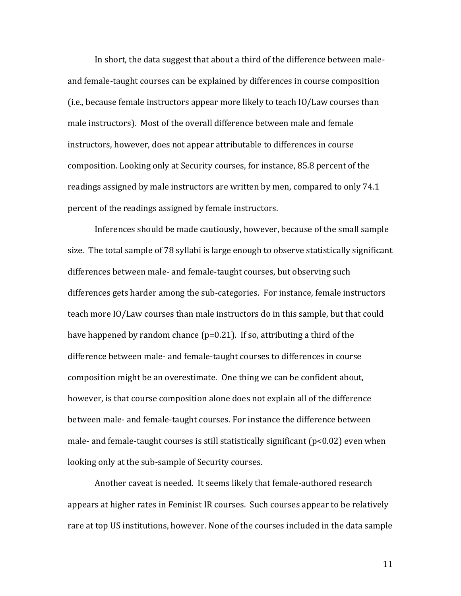In short, the data suggest that about a third of the difference between maleand female-taught courses can be explained by differences in course composition (i.e., because female instructors appear more likely to teach IO/Law courses than male instructors). Most of the overall difference between male and female instructors, however, does not appear attributable to differences in course composition. Looking only at Security courses, for instance, 85.8 percent of the readings assigned by male instructors are written by men, compared to only 74.1 percent of the readings assigned by female instructors.

Inferences should be made cautiously, however, because of the small sample size. The total sample of 78 syllabi is large enough to observe statistically significant differences between male- and female-taught courses, but observing such differences gets harder among the sub-categories. For instance, female instructors teach more IO/Law courses than male instructors do in this sample, but that could have happened by random chance (p=0.21). If so, attributing a third of the difference between male- and female-taught courses to differences in course composition might be an overestimate. One thing we can be confident about, however, is that course composition alone does not explain all of the difference between male- and female-taught courses. For instance the difference between male- and female-taught courses is still statistically significant  $(p<0.02)$  even when looking only at the sub-sample of Security courses.

Another caveat is needed. It seems likely that female-authored research appears at higher rates in Feminist IR courses. Such courses appear to be relatively rare at top US institutions, however. None of the courses included in the data sample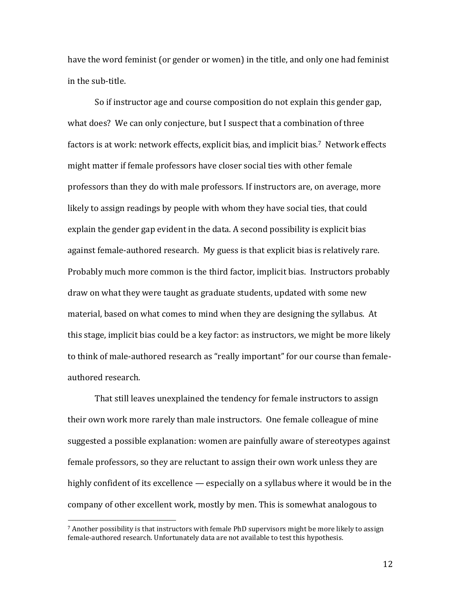have the word feminist (or gender or women) in the title, and only one had feminist in the sub-title.

So if instructor age and course composition do not explain this gender gap, what does? We can only conjecture, but I suspect that a combination of three factors is at work: network effects, explicit bias, and implicit bias.<sup>7</sup> Network effects might matter if female professors have closer social ties with other female professors than they do with male professors. If instructors are, on average, more likely to assign readings by people with whom they have social ties, that could explain the gender gap evident in the data. A second possibility is explicit bias against female-authored research. My guess is that explicit bias is relatively rare. Probably much more common is the third factor, implicit bias. Instructors probably draw on what they were taught as graduate students, updated with some new material, based on what comes to mind when they are designing the syllabus. At this stage, implicit bias could be a key factor: as instructors, we might be more likely to think of male-authored research as "really important" for our course than femaleauthored research.

That still leaves unexplained the tendency for female instructors to assign their own work more rarely than male instructors. One female colleague of mine suggested a possible explanation: women are painfully aware of stereotypes against female professors, so they are reluctant to assign their own work unless they are highly confident of its excellence — especially on a syllabus where it would be in the company of other excellent work, mostly by men. This is somewhat analogous to

 $\overline{a}$ 

 $7$  Another possibility is that instructors with female PhD supervisors might be more likely to assign female-authored research. Unfortunately data are not available to test this hypothesis.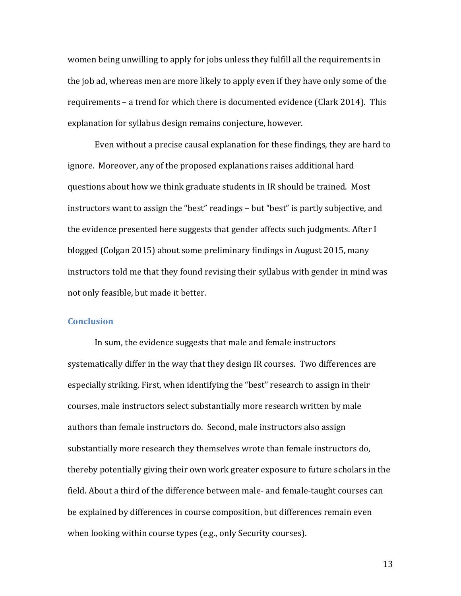women being unwilling to apply for jobs unless they fulfill all the requirements in the job ad, whereas men are more likely to apply even if they have only some of the requirements – a trend for which there is documented evidence (Clark 2014). This explanation for syllabus design remains conjecture, however.

Even without a precise causal explanation for these findings, they are hard to ignore. Moreover, any of the proposed explanations raises additional hard questions about how we think graduate students in IR should be trained. Most instructors want to assign the "best" readings – but "best" is partly subjective, and the evidence presented here suggests that gender affects such judgments. After I blogged (Colgan 2015) about some preliminary findings in August 2015, many instructors told me that they found revising their syllabus with gender in mind was not only feasible, but made it better.

# **Conclusion**

In sum, the evidence suggests that male and female instructors systematically differ in the way that they design IR courses. Two differences are especially striking. First, when identifying the "best" research to assign in their courses, male instructors select substantially more research written by male authors than female instructors do. Second, male instructors also assign substantially more research they themselves wrote than female instructors do, thereby potentially giving their own work greater exposure to future scholars in the field. About a third of the difference between male- and female-taught courses can be explained by differences in course composition, but differences remain even when looking within course types (e.g., only Security courses).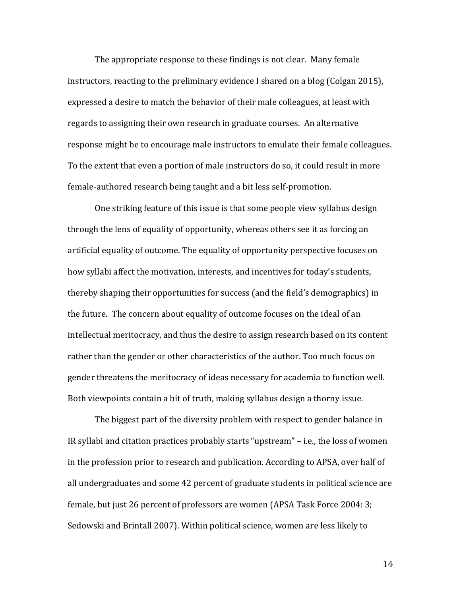The appropriate response to these findings is not clear. Many female instructors, reacting to the preliminary evidence I shared on a blog (Colgan 2015), expressed a desire to match the behavior of their male colleagues, at least with regards to assigning their own research in graduate courses. An alternative response might be to encourage male instructors to emulate their female colleagues. To the extent that even a portion of male instructors do so, it could result in more female-authored research being taught and a bit less self-promotion.

One striking feature of this issue is that some people view syllabus design through the lens of equality of opportunity, whereas others see it as forcing an artificial equality of outcome. The equality of opportunity perspective focuses on how syllabi affect the motivation, interests, and incentives for today's students, thereby shaping their opportunities for success (and the field's demographics) in the future. The concern about equality of outcome focuses on the ideal of an intellectual meritocracy, and thus the desire to assign research based on its content rather than the gender or other characteristics of the author. Too much focus on gender threatens the meritocracy of ideas necessary for academia to function well. Both viewpoints contain a bit of truth, making syllabus design a thorny issue.

The biggest part of the diversity problem with respect to gender balance in IR syllabi and citation practices probably starts "upstream" – i.e., the loss of women in the profession prior to research and publication. According to APSA, over half of all undergraduates and some 42 percent of graduate students in political science are female, but just 26 percent of professors are women (APSA Task Force 2004: 3; Sedowski and Brintall 2007). Within political science, women are less likely to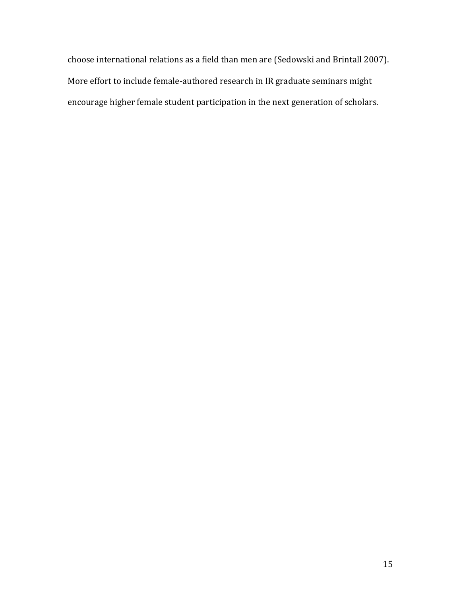choose international relations as a field than men are (Sedowski and Brintall 2007). More effort to include female-authored research in IR graduate seminars might encourage higher female student participation in the next generation of scholars.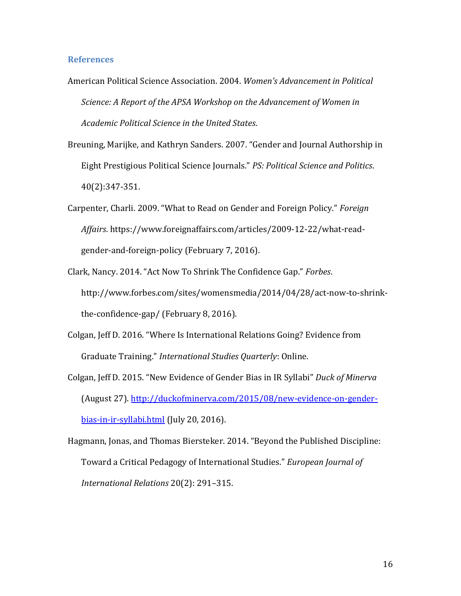### **References**

- American Political Science Association. 2004. *Women's Advancement in Political Science: A Report of the APSA Workshop on the Advancement of Women in Academic Political Science in the United States*.
- Breuning, Marijke, and Kathryn Sanders. 2007. "Gender and Journal Authorship in Eight Prestigious Political Science Journals." *PS: Political Science and Politics*. 40(2):347-351.
- Carpenter, Charli. 2009. "What to Read on Gender and Foreign Policy." *Foreign Affairs*. https://www.foreignaffairs.com/articles/2009-12-22/what-readgender-and-foreign-policy (February 7, 2016).
- Clark, Nancy. 2014. "Act Now To Shrink The Confidence Gap." *Forbes*. http://www.forbes.com/sites/womensmedia/2014/04/28/act-now-to-shrinkthe-confidence-gap/ (February 8, 2016).
- Colgan, Jeff D. 2016. "Where Is International Relations Going? Evidence from Graduate Training." *International Studies Quarterly*: Online.
- Colgan, Jeff D. 2015. "New Evidence of Gender Bias in IR Syllabi" *Duck of Minerva*  (August 27). [http://duckofminerva.com/2015/08/new-evidence-on-gender](http://duckofminerva.com/2015/08/new-evidence-on-gender-bias-in-ir-syllabi.html)[bias-in-ir-syllabi.html](http://duckofminerva.com/2015/08/new-evidence-on-gender-bias-in-ir-syllabi.html) (July 20, 2016).
- Hagmann, Jonas, and Thomas Biersteker. 2014. "Beyond the Published Discipline: Toward a Critical Pedagogy of International Studies." *European Journal of International Relations* 20(2): 291–315.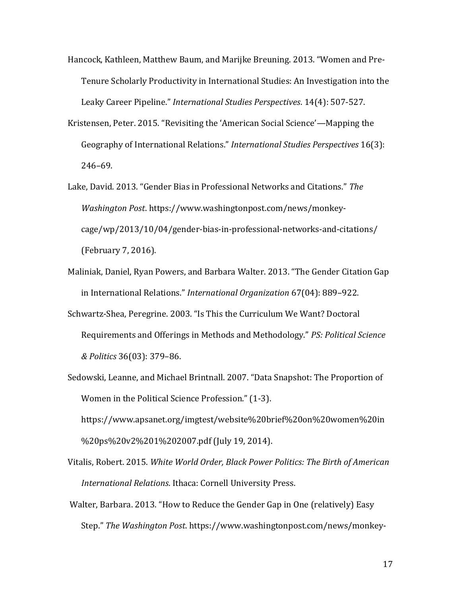- Hancock, Kathleen, Matthew Baum, and Marijke Breuning. 2013. "Women and Pre-Tenure Scholarly Productivity in International Studies: An Investigation into the Leaky Career Pipeline." *International Studies Perspectives*. 14(4): 507-527.
- Kristensen, Peter. 2015. "Revisiting the 'American Social Science'—Mapping the Geography of International Relations." *International Studies Perspectives* 16(3): 246–69.
- Lake, David. 2013. "Gender Bias in Professional Networks and Citations." *The Washington Post*. https://www.washingtonpost.com/news/monkeycage/wp/2013/10/04/gender-bias-in-professional-networks-and-citations/ (February 7, 2016).
- Maliniak, Daniel, Ryan Powers, and Barbara Walter. 2013. "The Gender Citation Gap in International Relations." *International Organization* 67(04): 889–922.
- Schwartz-Shea, Peregrine. 2003. "Is This the Curriculum We Want? Doctoral Requirements and Offerings in Methods and Methodology." *PS: Political Science & Politics* 36(03): 379–86.
- Sedowski, Leanne, and Michael Brintnall. 2007. "Data Snapshot: The Proportion of Women in the Political Science Profession." (1-3). https://www.apsanet.org/imgtest/website%20brief%20on%20women%20in %20ps%20v2%201%202007.pdf (July 19, 2014).
- Vitalis, Robert. 2015. *White World Order, Black Power Politics: The Birth of American International Relations*. Ithaca: Cornell University Press.
- Walter, Barbara. 2013. "How to Reduce the Gender Gap in One (relatively) Easy Step." *The Washington Post*. https://www.washingtonpost.com/news/monkey-